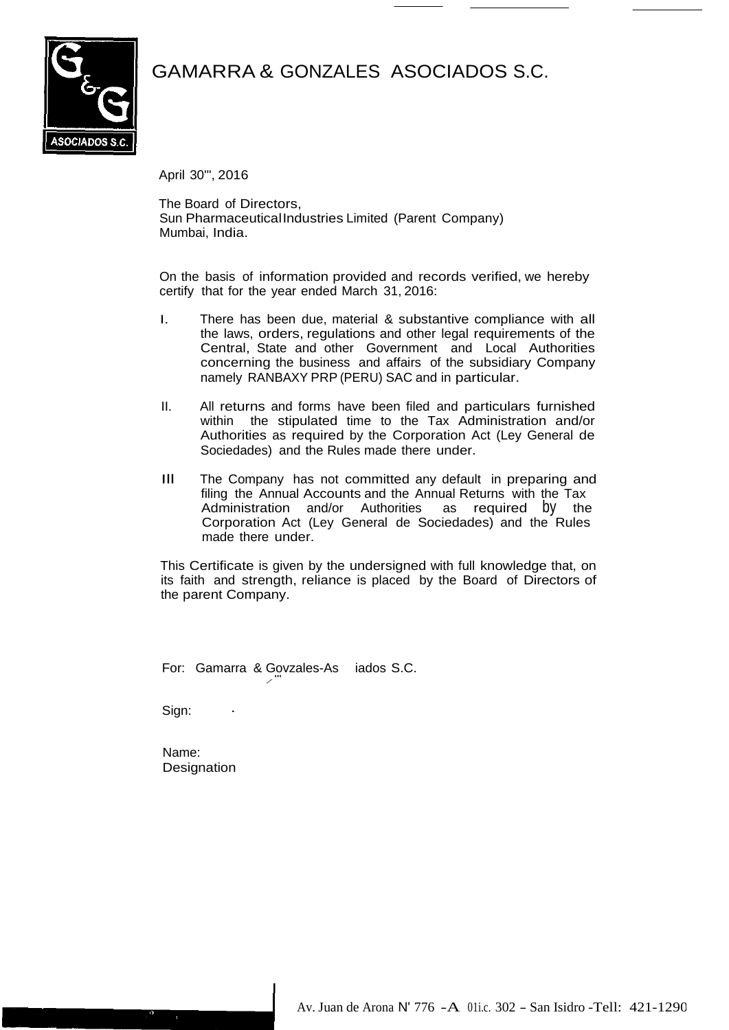



April 30'", 2016

The Board of Directors, Sun PharmaceuticalIndustries Limited (Parent Company) Mumbai, India.

On the basis of information provided and records verified, we hereby certify that for the year ended March 31, 2016:

- I. There has been due, material & substantive compliance with all the laws, orders, regulations and other legal requirements of the Central, State and other Government and Local Authorities concerning the business and affairs of the subsidiary Company namely RANBAXY PRP (PERU) SAC and in particular.
- II. All returns and forms have been filed and particulars furnished within the stipulated time to the Tax Administration and/or Authorities as required by the Corporation Act (Ley General de Sociedades) and the Rules made there under.
- Ill The Company has not committed any default in preparing and filing the Annual Accounts and the Annual Returns with the Tax Administration and/or Authorities as required by the Corporation Act (Ley General de Sociedades) and the Rules made there under.

This Certificate is given by the undersigned with full knowledge that, on its faith and strength, reliance is placed by the Board of Directors of the parent Company.

For: Gamarra & Govzales-As iados S.C. */*"'

Sign:

Name: **Designation**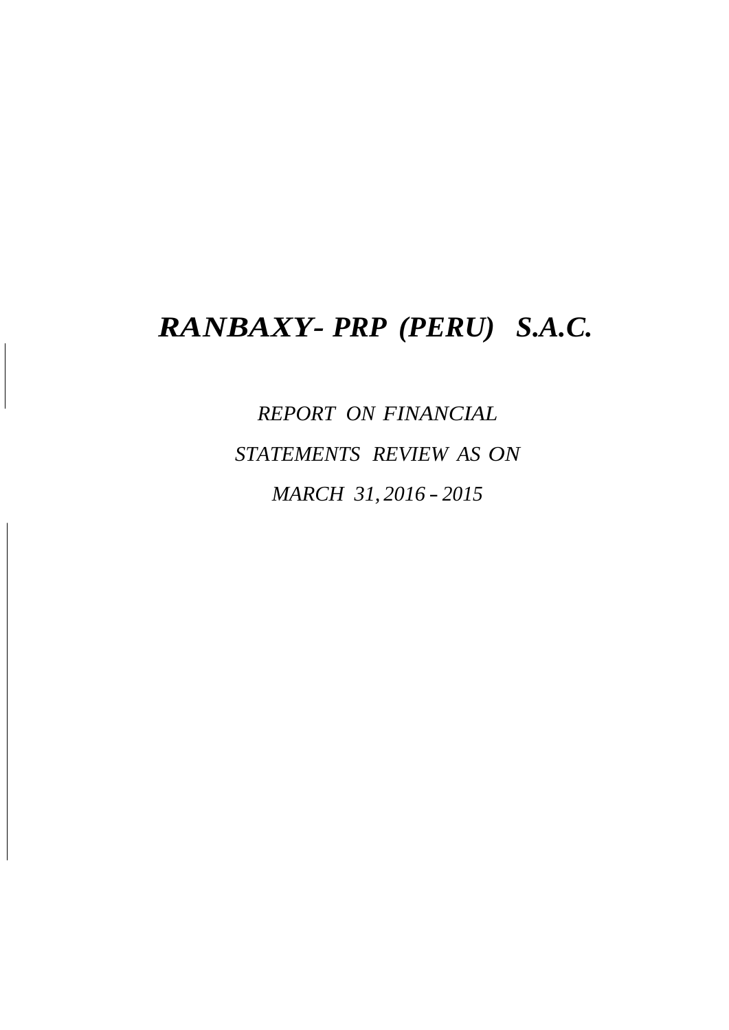# *RANBAXY- PRP (PERU) S.A.C.*

*REPORT ON FINANCIAL STATEMENTS REVIEW AS ON MARCH 31, 2016* - *2015*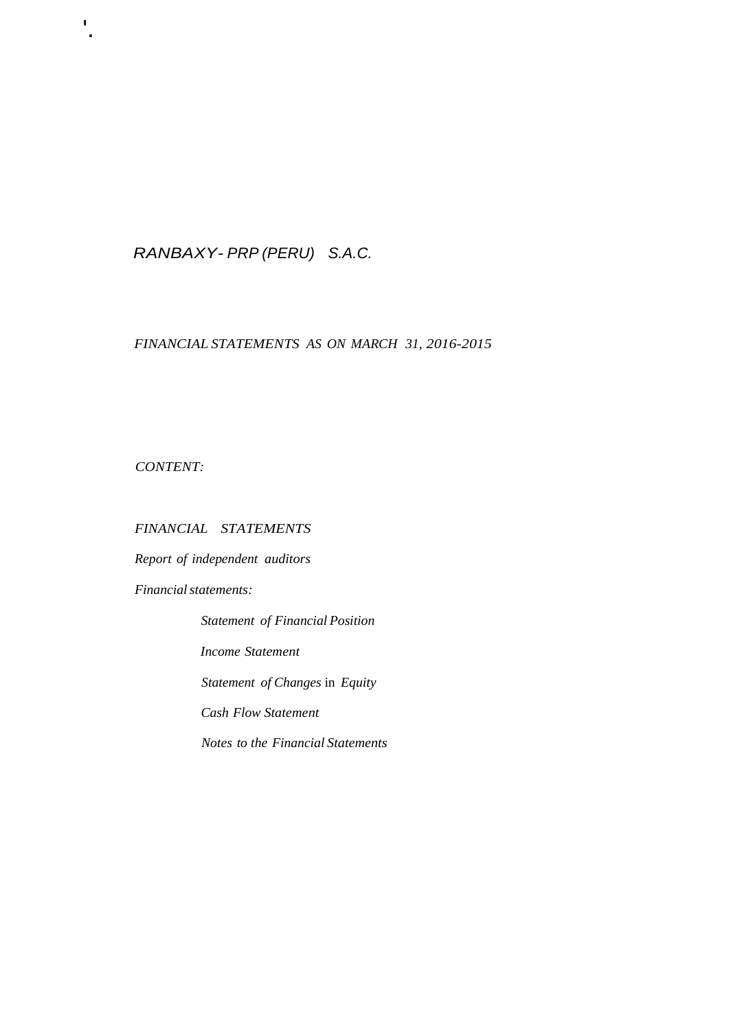### *RANBAXY- PRP (PERU) S.A.C.*

#### *FINANCIAL STATEMENTS AS ON MARCH 31, 2016-2015*

*CONTENT:*

'.

#### *FINANCIAL STATEMENTS*

*Report of independent auditors* 

**Financial statements:** 

*Statement of Financial Position Income Statement Statement of Changes* in *Equity Cash Flow Statement Notes to the Financial Statements*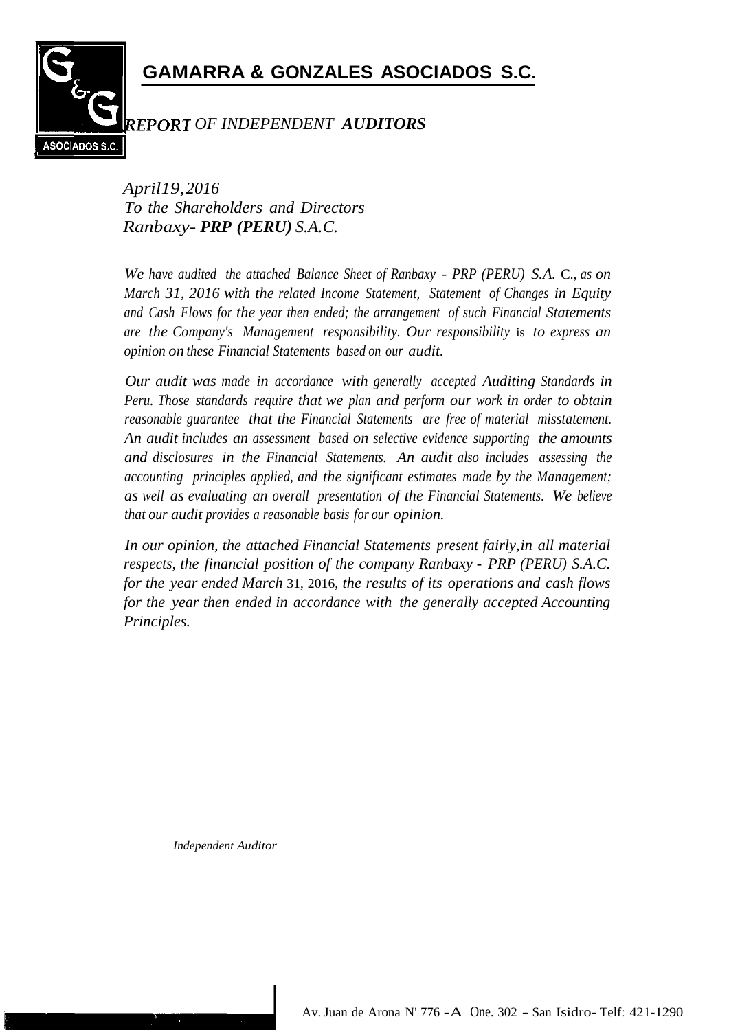# **GAMARRA & GONZALES ASOCIADOS S.C.**



### *OF INDEPENDENT AUDITORS*

*April19,2016 To the Shareholders and Directors Ranbaxy- PRP (PERU) S.A.C.*

*We have audited the attached Balance Sheet of Ranbaxy* - *PRP (PERU) S.A.* C., *as on March 31, 2016 with the related Income Statement, Statement of Changes in Equity and Cash Flows for the year then ended; the arrangement of such Financial Statements are the Company's Management responsibility. Our responsibility* is *to express an opinion on these Financial Statements based on our audit.*

*Our audit was made in accordance with generally accepted Auditing Standards in Peru. Those standards require that we plan and perform our work in order to obtain reasonable guarantee that the Financial Statements are free of material misstatement. An audit includes an assessment based on selective evidence supporting the amounts and disclosures in the Financial Statements. An audit also includes assessing the accounting principles applied, and the significant estimates made by the Management; as well as evaluating an overall presentation of the Financial Statements. We believe that our audit provides a reasonable basis for our opinion.*

*In our opinion, the attached Financial Statements present fairly,in all material respects, the financial position of the company Ranbaxy* - *PRP (PERU) S.A.C. for the year ended March* 31, 2016, *the results of its operations and cash flows for the year then ended in accordance with the generally accepted Accounting Principles.*

*Independent Auditor*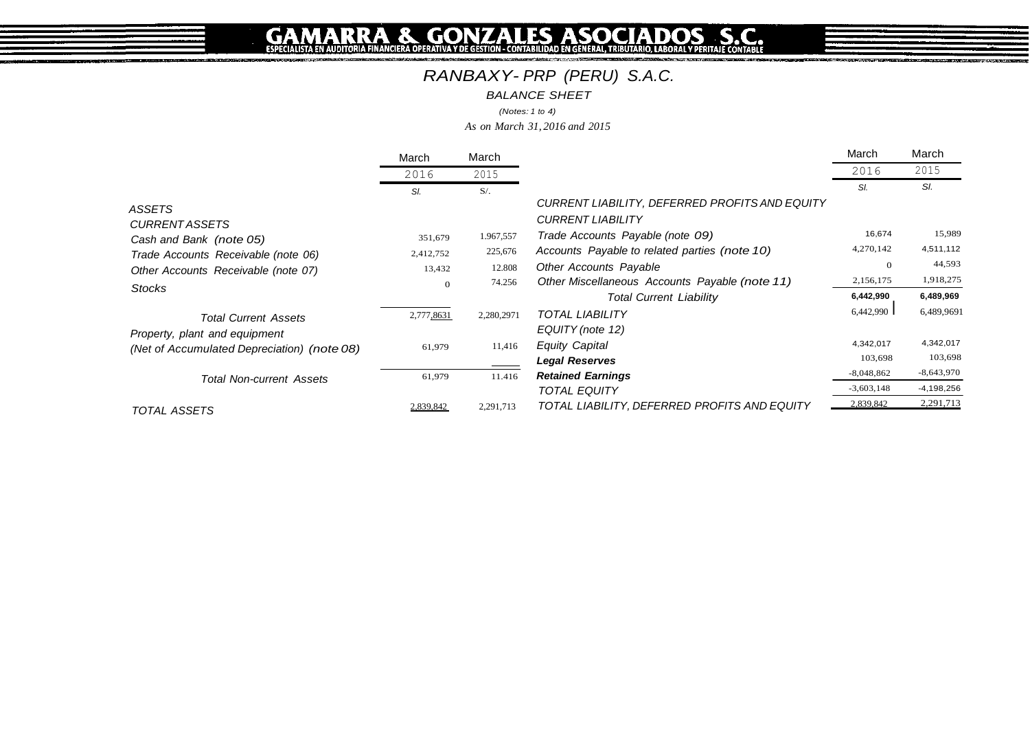# *RANBAXY- PRP (PERU) S.A.C.*

*BALANCE SHEET*

*(Notes: 1 to 4)*

*As on March 31, 2016 and 2015*

|                                             | March      | March      |                                                | March        | March        |
|---------------------------------------------|------------|------------|------------------------------------------------|--------------|--------------|
|                                             | 2016       | 2015       |                                                | 2016         | 2015         |
|                                             | SI.        | $S/$ .     |                                                | SI.          | SI.          |
| ASSETS                                      |            |            | CURRENT LIABILITY, DEFERRED PROFITS AND EQUITY |              |              |
| <b>CURRENT ASSETS</b>                       |            |            | <b>CURRENT LIABILITY</b>                       |              | 15,989       |
| Cash and Bank (note 05)                     | 351,679    | 1.967,557  | Trade Accounts Payable (note 09)               | 16,674       |              |
| Trade Accounts Receivable (note 06)         | 2,412,752  | 225,676    | Accounts Payable to related parties (note 10)  | 4,270,142    | 4,511,112    |
| Other Accounts Receivable (note 07)         | 13,432     | 12.808     | <b>Other Accounts Payable</b>                  | $\theta$     | 44,593       |
|                                             | $\Omega$   | 74.256     | Other Miscellaneous Accounts Payable (note 11) | 2,156,175    | 1,918,275    |
| <b>Stocks</b>                               |            |            | <b>Total Current Liability</b>                 | 6,442,990    | 6,489,969    |
| <b>Total Current Assets</b>                 | 2,777,8631 | 2,280,2971 | <b>TOTAL LIABILITY</b>                         | 6,442,990    | 6,489,9691   |
| Property, plant and equipment               |            |            | EQUITY (note 12)                               |              |              |
| (Net of Accumulated Depreciation) (note 08) | 61,979     | 11,416     | <b>Equity Capital</b>                          | 4,342,017    | 4,342,017    |
|                                             |            |            | <b>Legal Reserves</b>                          | 103,698      | 103,698      |
| <b>Total Non-current Assets</b>             | 61,979     | 11.416     | <b>Retained Earnings</b>                       | $-8,048,862$ | $-8,643,970$ |
|                                             |            |            | <b>TOTAL EQUITY</b>                            | $-3,603,148$ | $-4,198,256$ |
| TOTAL ASSETS                                | 2,839,842  | 2,291,713  | TOTAL LIABILITY, DEFERRED PROFITS AND EQUITY   | 2,839,842    | 2,291,713    |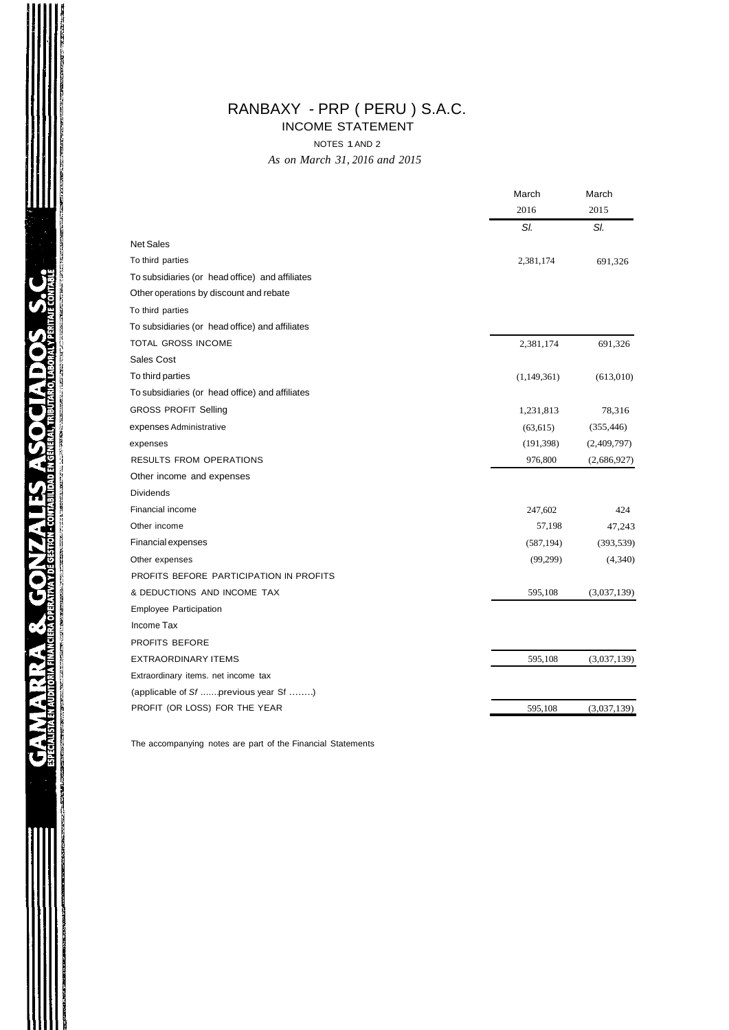### RANBAXY - PRP ( PERU ) S.A.C.

INCOME STATEMENT

NOTES 1AND 2

*As on March 31, 2016 and 2015*

|                                                 | March       | March       |  |
|-------------------------------------------------|-------------|-------------|--|
|                                                 | 2016        | 2015        |  |
|                                                 | SI.         | SI.         |  |
| <b>Net Sales</b>                                |             |             |  |
| To third parties                                | 2,381,174   | 691,326     |  |
| To subsidiaries (or head office) and affiliates |             |             |  |
| Other operations by discount and rebate         |             |             |  |
| To third parties                                |             |             |  |
| To subsidiaries (or head office) and affiliates |             |             |  |
| TOTAL GROSS INCOME                              | 2,381,174   | 691,326     |  |
| Sales Cost                                      |             |             |  |
| To third parties                                | (1,149,361) | (613,010)   |  |
| To subsidiaries (or head office) and affiliates |             |             |  |
| <b>GROSS PROFIT Selling</b>                     | 1,231,813   | 78,316      |  |
| expenses Administrative                         | (63, 615)   | (355, 446)  |  |
| expenses                                        | (191, 398)  | (2,409,797) |  |
| RESULTS FROM OPERATIONS                         | 976,800     | (2,686,927) |  |
| Other income and expenses                       |             |             |  |
| <b>Dividends</b>                                |             |             |  |
| Financial income                                | 247,602     | 424         |  |
| Other income                                    | 57,198      | 47,243      |  |
| Financial expenses                              | (587, 194)  | (393, 539)  |  |
| Other expenses                                  | (99,299)    | (4,340)     |  |
| PROFITS BEFORE PARTICIPATION IN PROFITS         |             |             |  |
| & DEDUCTIONS AND INCOME TAX                     | 595,108     | (3,037,139) |  |
| Employee Participation                          |             |             |  |
| Income Tax                                      |             |             |  |
| PROFITS BEFORE                                  |             |             |  |
| <b>EXTRAORDINARY ITEMS</b>                      | 595,108     | (3,037,139) |  |
| Extraordinary items. net income tax             |             |             |  |
| (applicable of Sf  previous year Sf )           |             |             |  |
| PROFIT (OR LOSS) FOR THE YEAR                   | 595,108     | (3,037,139) |  |

The accompanying notes are part of the Financial Statements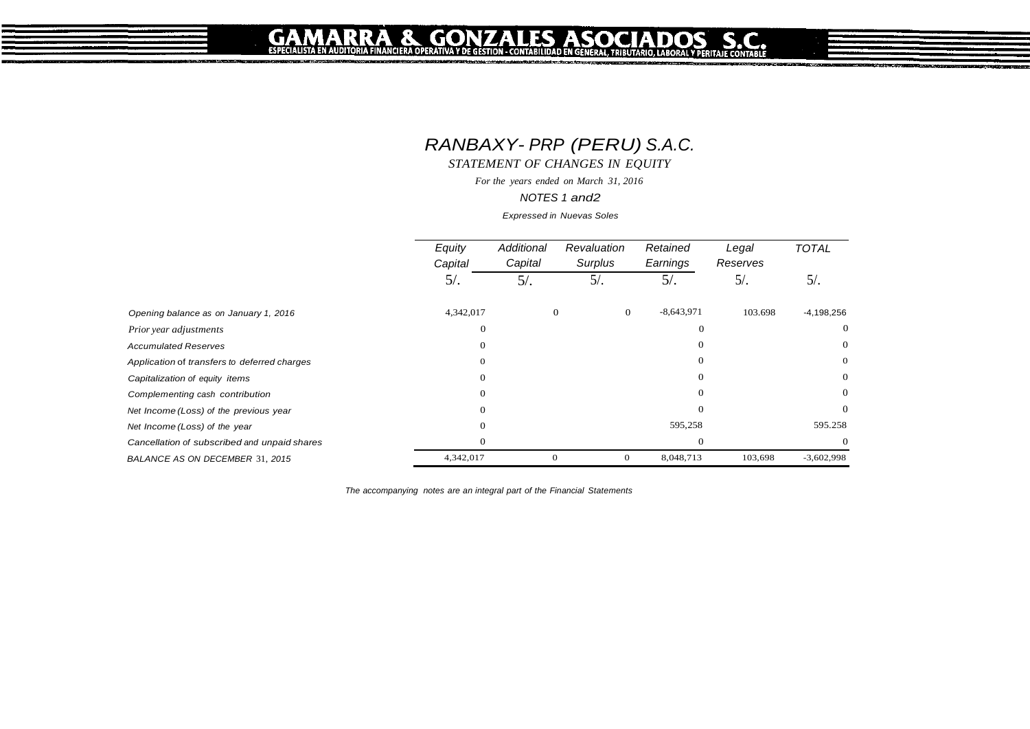GA

# *RANBAXY- PRP (PERU) S.A.C.*

*STATEMENT OF CHANGES IN EQUITY*

*For the years ended on March 31, 2016*

*NOTES 1 and2*

*Expressed in Nuevas Soles*

|                                              | Equity<br>Capital | Additional<br>Capital | Revaluation<br>Surplus |                | Retained<br>Earnings | Legal<br>Reserves | <b>TOTAL</b> |
|----------------------------------------------|-------------------|-----------------------|------------------------|----------------|----------------------|-------------------|--------------|
|                                              | 5/                | $5/$ .                | $5/$ .                 |                | $5/$ .               | $5/$ .            | $5/$ .       |
| Opening balance as on January 1, 2016        | 4,342,017         |                       | $\mathbf{0}$           | $\overline{0}$ | $-8,643,971$         | 103.698           | $-4,198,256$ |
| Prior year adjustments                       | $\theta$          |                       |                        |                | $\Omega$             |                   | $\Omega$     |
| <b>Accumulated Reserves</b>                  | $\Omega$          |                       |                        |                |                      |                   | $\Omega$     |
| Application of transfers to deferred charges | $\theta$          |                       |                        |                | 0                    |                   | $\mathbf{0}$ |
| Capitalization of equity items               | $\theta$          |                       |                        |                | $\Omega$             |                   | $\theta$     |
| Complementing cash contribution              | $\Omega$          |                       |                        |                |                      |                   | $\Omega$     |
| Net Income (Loss) of the previous year       | $\Omega$          |                       |                        |                | $\Omega$             |                   | $\Omega$     |
| Net Income (Loss) of the year                | $\theta$          |                       |                        |                | 595,258              |                   | 595.258      |
| Cancellation of subscribed and unpaid shares | $\Omega$          |                       |                        |                | $\Omega$             |                   |              |
| BALANCE AS ON DECEMBER 31, 2015              | 4,342,017         |                       | $\mathbf{0}$           | $\theta$       | 8,048,713            | 103,698           | $-3,602,998$ |

*The accompanying notes are an integral part of the Financial Statements*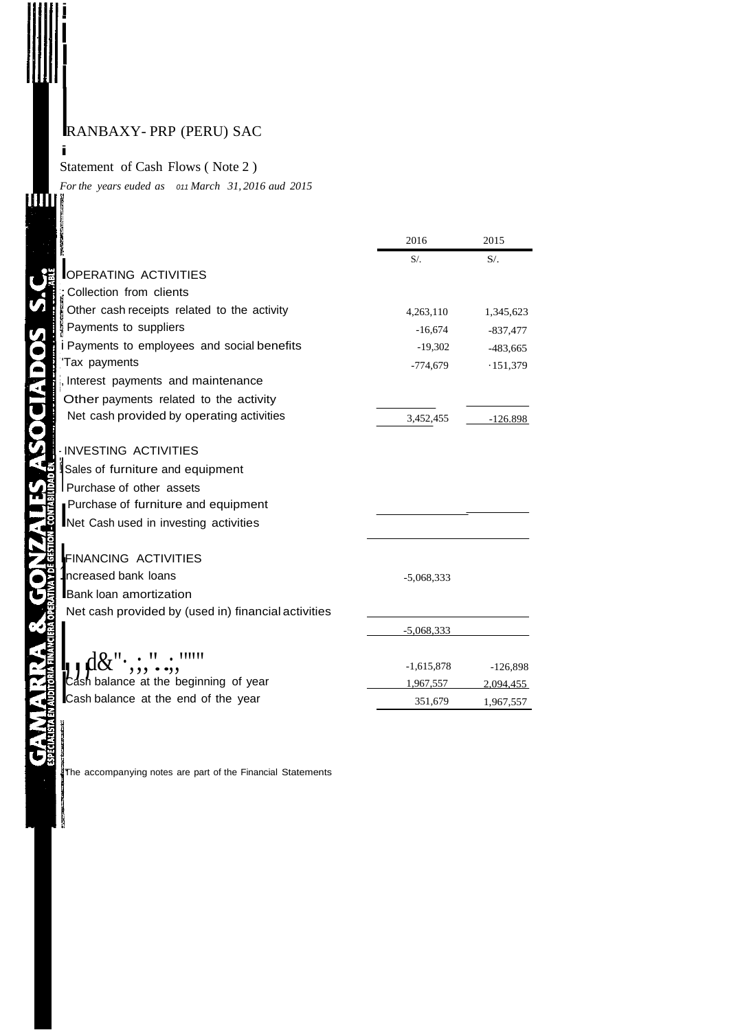i

i I

I

**STARTS WITH** 

i Statement of Cash Flows ( Note 2 ) *Forthe years euded as <sup>011</sup> March 31, 2016 aud 2015*

|                                                     | 2016         | 2015                    |
|-----------------------------------------------------|--------------|-------------------------|
|                                                     | $S/$ .       | $S/$ .                  |
| <b>OPERATING ACTIVITIES</b>                         |              |                         |
| Collection from clients                             |              |                         |
| Other cash receipts related to the activity         | 4,263,110    | 1,345,623               |
| Payments to suppliers                               | $-16,674$    | $-837,477$              |
| i Payments to employees and social benefits         | $-19,302$    | $-483,665$              |
| 'Tax payments                                       | $-774,679$   | $-151,379$              |
| , Interest payments and maintenance                 |              |                         |
| Other payments related to the activity              |              |                         |
| Net cash provided by operating activities           | 3,452,455    | $-126.898$              |
| -INVESTING ACTIVITIES                               |              |                         |
| Sales of furniture and equipment                    |              |                         |
| Purchase of other assets                            |              |                         |
| Purchase of furniture and equipment                 |              |                         |
| Net Cash used in investing activities               |              |                         |
| <b>FINANCING ACTIVITIES</b>                         |              |                         |
| ncreased bank loans                                 | $-5,068,333$ |                         |
| <b>Bank loan amortization</b>                       |              |                         |
| Net cash provided by (used in) financial activities |              |                         |
|                                                     | $-5,068,333$ |                         |
| ''''''                                              | $-1,615,878$ |                         |
| ash balance at the beginning of year                | 1.967.557    | $-126,898$<br>2.094.455 |
| Cash balance at the end of the year                 | 351,679      | 1,967,557               |
|                                                     |              |                         |

The accompanying notes are part of the Financial Statements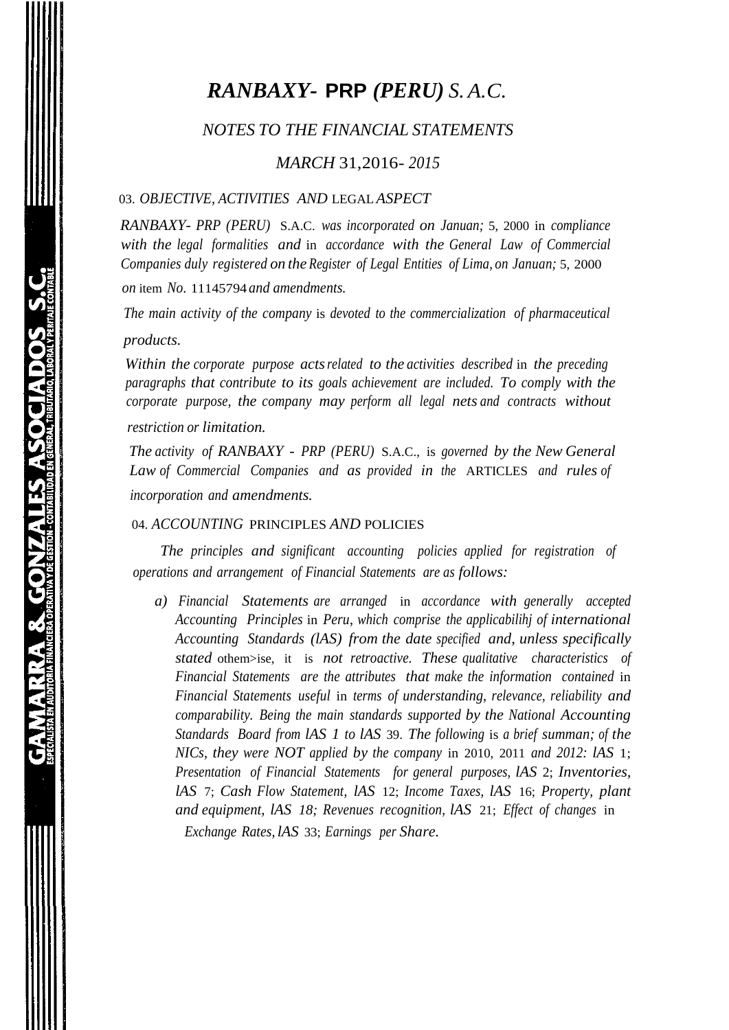# *RANBAXY-* **PRP** *(PERU) S. A.C.*

#### *NOTES TO THE FINANCIAL STATEMENTS*

#### *MARCH* 31,2016- *2015*

#### 03. *OBJECTIVE, ACTIVITIES AND* LEGAL *ASPECT*

*RANBAXY- PRP (PERU)* S.A.C. *was incorporated on Januan;* 5, 2000 in *compliance with the legal formalities and* in *accordance with the General Law of Commercial Companies duly registered on the Register of Legal Entities of Lima, on Januan;* 5, 2000

*on* item *No.* 11145794 *and amendments.*

*The main activity of the company* is *devoted to the commercialization of pharmaceutical* 

#### *products.*

*Within the corporate purpose actsrelated to the activities described* in *the preceding paragraphs that contribute to its goals achievement are included. To comply with the corporate purpose, the company may perform all legal nets and contracts without*

#### *restriction or limitation.*

*The activity of RANBAXY* - *PRP (PERU)* S.A.C., is *governed by the New General Law of Commercial Companies and as provided in the* ARTICLES *and rules of incorporation and amendments.*

#### 04. *ACCOUNTING* PRINCIPLES *AND* POLICIES

*The principles and significant accounting policies applied for registration of operations and arrangement of Financial Statements are as follows:*

*a) Financial Statements are arranged* in *accordance with generally accepted Accounting Principles* in *Peru, which comprise the applicabilihj of international Accounting Standards (lAS) from the date specified and, unless specifically stated* othem>ise, it is *not retroactive. These qualitative characteristics of Financial Statements are the attributes that make the information contained* in *Financial Statements useful* in *terms of understanding, relevance, reliability and comparability. Being the main standards supported by the National Accounting Standards Board from lAS 1 to lAS* 39. *The following* is *a brief summan; of the NICs, they were NOT applied by the company* in 2010, 2011 *and 2012: lAS* 1; *Presentation of Financial Statements for general purposes, lAS* 2; *Inventories, lAS* 7; *Cash Flow Statement, lAS* 12; *Income Taxes, lAS* 16; *Property, plant and equipment, lAS 18; Revenues recognition, lAS* 21; *Effect of changes* in *Exchange Rates, lAS* 33; *Earnings per Share.*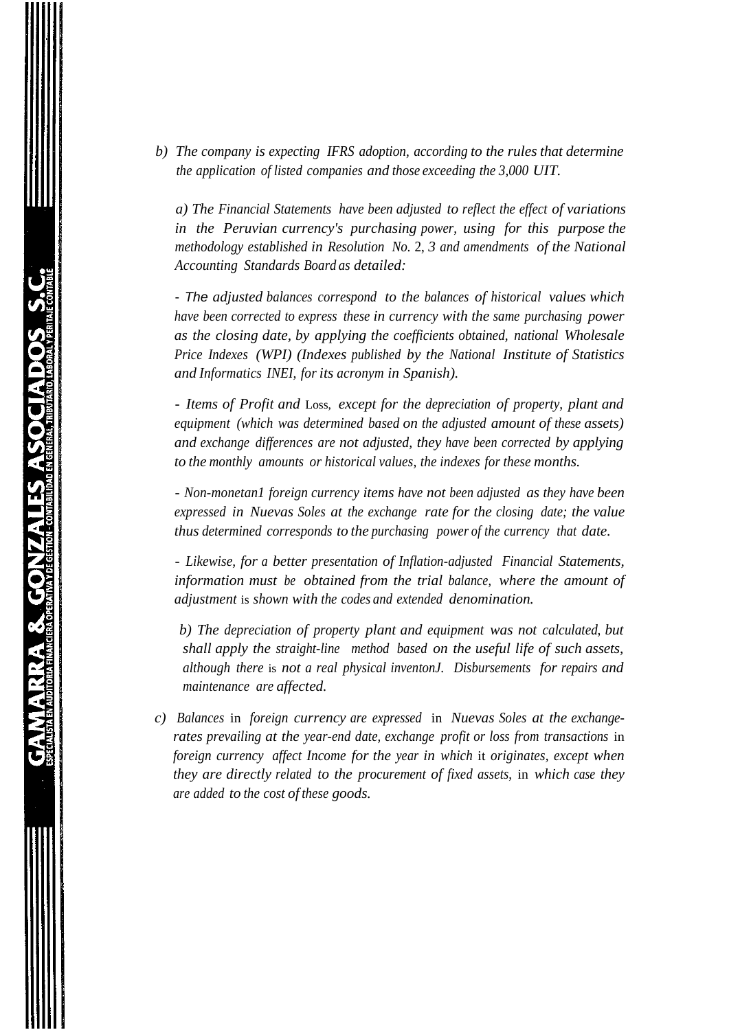*b) The company is expecting IFRS adoption, according to the rules that determine the application of listed companies and those exceeding the 3,000 UIT.*

*a) The Financial Statements have been adjusted to reflect the effect of variations in the Peruvian currency's purchasing power, using for this purpose the methodology established in Resolution No.* 2, *3 and amendments of the National Accounting Standards Board as detailed:*

- *The adjusted balances correspond to the balances of historical values which have been corrected to express these in currency with the same purchasing power as the closing date, by applying the coefficients obtained, national Wholesale Price Indexes (WPI) (Indexes published by the National Institute of Statistics and Informatics INEI, for its acronym in Spanish).*

- *Items of Profit and* Loss, *except for the depreciation of property, plant and equipment (which was determined based on the adjusted amount of these assets) and exchange differences are not adjusted, they have been corrected by applying to the monthly amounts or historical values, the indexes for these months.*

- *Non-monetan1 foreign currency items have not been adjusted as they have been expressed in Nuevas Soles at the exchange rate for the closing date; the value thus determined corresponds to the purchasing power of the currency that date.*

- *Likewise, for a better presentation of Inflation-adjusted Financial Statements, information must be obtained from the trial balance, where the amount of adjustment* is *shown with the codes and extended denomination.*

*b) The depreciation of property plant and equipment was not calculated, but shall apply the straight-line method based on the useful life of such assets, although there* is *not a real physical inventonJ. Disbursements for repairs and maintenance are affected.*

*c) Balances* in *foreign currency are expressed* in *Nuevas Soles at the exchangerates prevailing at the year-end date, exchange profit or loss from transactions* in *foreign currency affect Income for the year in which* it *originates, except when they are directly related to the procurement of fixed assets,* in *which case they are added to the cost of these goods.*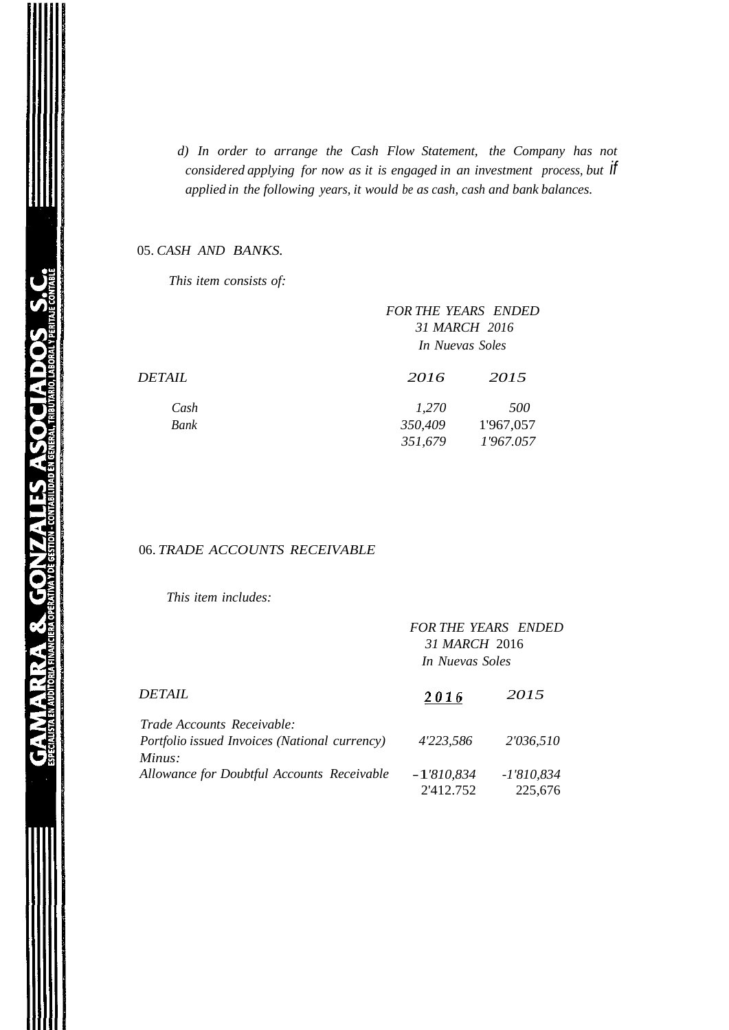*d) In order to arrange the Cash Flow Statement, the Company has not considered applying for now as it is engaged in an investment process, but if applied in the following years, it would be as cash, cash and bank balances.*

#### 05. *CASH AND BANKS.*

*This item consists of:*

|                      |         | <b>FOR THE YEARS ENDED</b><br>31 MARCH 2016<br>In Nuevas Soles |  |  |
|----------------------|---------|----------------------------------------------------------------|--|--|
| <i><b>DETAIL</b></i> | 2016    | 2015                                                           |  |  |
| Cash                 | 1,270   | 500                                                            |  |  |
| Bank                 | 350,409 | 1'967,057                                                      |  |  |
|                      | 351,679 | 1'967.057                                                      |  |  |
|                      |         |                                                                |  |  |

#### 06. *TRADE ACCOUNTS RECEIVABLE*

*This item includes:*

|                                               | <b>FOR THE YEARS ENDED</b><br>31 MARCH 2016<br>In Nuevas Soles |              |  |
|-----------------------------------------------|----------------------------------------------------------------|--------------|--|
| DETAIL                                        | 2016                                                           | 2015         |  |
| <i>Trade Accounts Receivable:</i>             |                                                                |              |  |
| Portfolio issued Invoices (National currency) | 4'223,586                                                      | 2'036,510    |  |
| Minus:                                        |                                                                |              |  |
| Allowance for Doubtful Accounts Receivable    | $-1'810,834$                                                   | $-1'810,834$ |  |
|                                               | 2'412.752                                                      | 225,676      |  |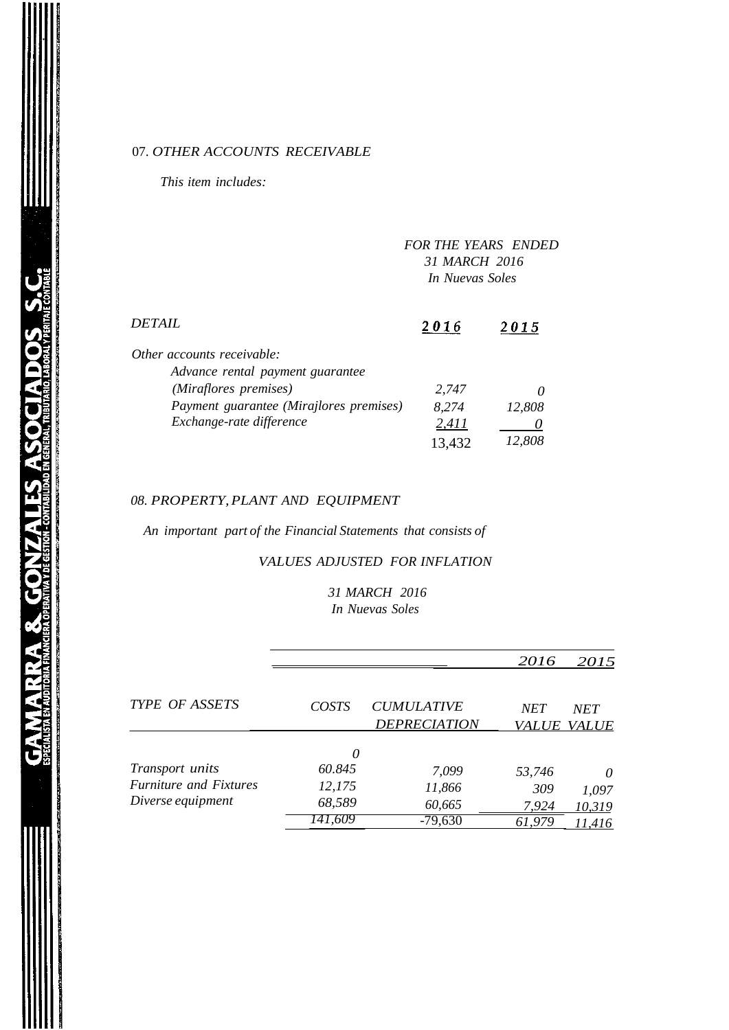#### 07. *OTHER ACCOUNTS RECEIVABLE*

*This item includes:*

|                                                                | <b>FOR THE YEARS ENDED</b><br>31 MARCH 2016<br>In Nuevas Soles |        |
|----------------------------------------------------------------|----------------------------------------------------------------|--------|
| DETAIL                                                         | 2016                                                           | 2015   |
| Other accounts receivable:<br>Advance rental payment guarantee |                                                                |        |
| (Miraflores premises)                                          | 2.747                                                          |        |
| Payment guarantee (Mirajlores premises)                        | 8,274                                                          | 12,808 |
| Exchange-rate difference                                       | 2,411                                                          |        |
|                                                                | 13,432                                                         | 12,808 |

#### *08. PROPERTY,PLANT AND EQUIPMENT*

**GAMARRA & GONZALES ASOCIADOS S.C** 

*An important part of the Financial Statements that consists of*

#### *VALUES ADJUSTED FOR INFLATION*

*31 MARCH 2016 In Nuevas Soles*

|                               |              |                     | 2016         | 2015         |
|-------------------------------|--------------|---------------------|--------------|--------------|
| <b>TYPE OF ASSETS</b>         | <b>COSTS</b> | <b>CUMULATIVE</b>   | <b>NET</b>   | <b>NET</b>   |
|                               |              | <b>DEPRECIATION</b> | <i>VALUE</i> | <b>VALUE</b> |
|                               | 0            |                     |              |              |
| Transport units               | 60.845       | 7,099               | 53,746       | 0            |
| <b>Furniture and Fixtures</b> | 12,175       | 11,866              | 309          | 1,097        |
| Diverse equipment             | 68,589       | 60,665              | 7,924        | 10,319       |
|                               | 141.609      | $-79,630$           | 61,979       | 11,416       |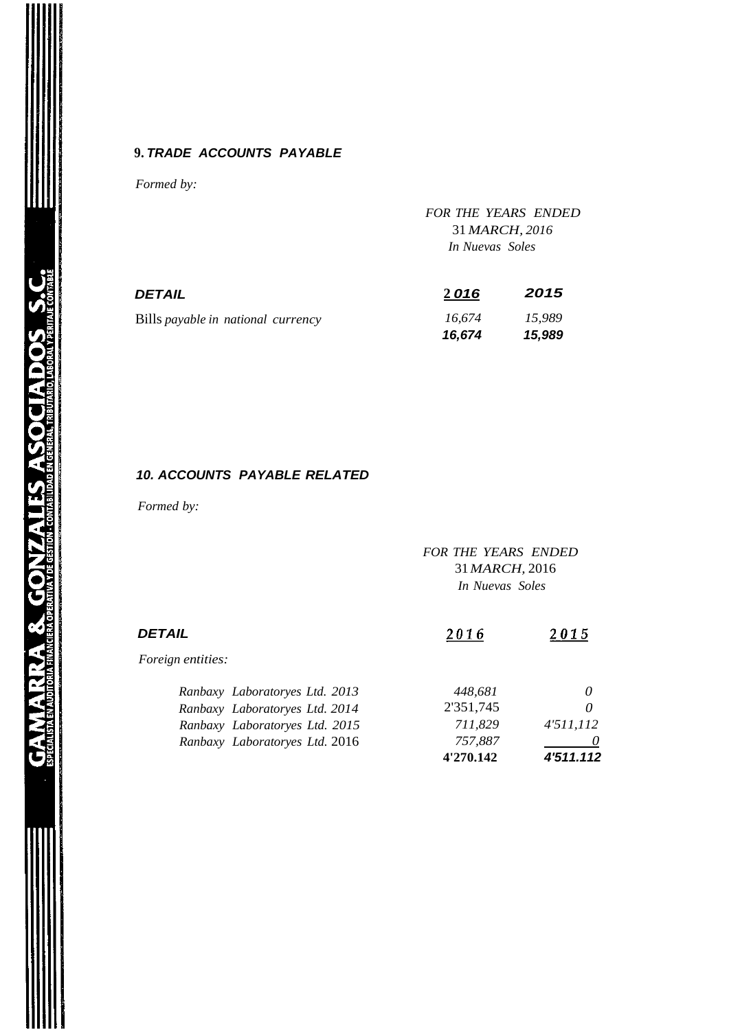#### **9.** *TRADE ACCOUNTS PAYABLE*

*Formed by:*

|                                    | <b>FOR THE YEARS ENDED</b><br>31 MARCH, 2016<br>In Nuevas Soles |                  |  |
|------------------------------------|-----------------------------------------------------------------|------------------|--|
| DETAIL                             | 2016                                                            | 2015             |  |
| Bills payable in national currency | 16,674<br>16,674                                                | 15,989<br>15,989 |  |

#### *10. ACCOUNTS PAYABLE RELATED*

*Formed by:*

*FOR THE YEARS ENDED* 31*MARCH,* 2016 *In Nuevas Soles*

| DETAIL                         | 2016      | 2015      |
|--------------------------------|-----------|-----------|
| <i>Foreign entities:</i>       |           |           |
| Ranbaxy Laboratoryes Ltd. 2013 | 448,681   | $\theta$  |
| Ranbaxy Laboratoryes Ltd. 2014 | 2'351,745 | 0         |
| Ranbaxy Laboratoryes Ltd. 2015 | 711,829   | 4'511,112 |
| Ranbaxy Laboratoryes Ltd. 2016 | 757,887   |           |
|                                | 4'270.142 | 4'511.112 |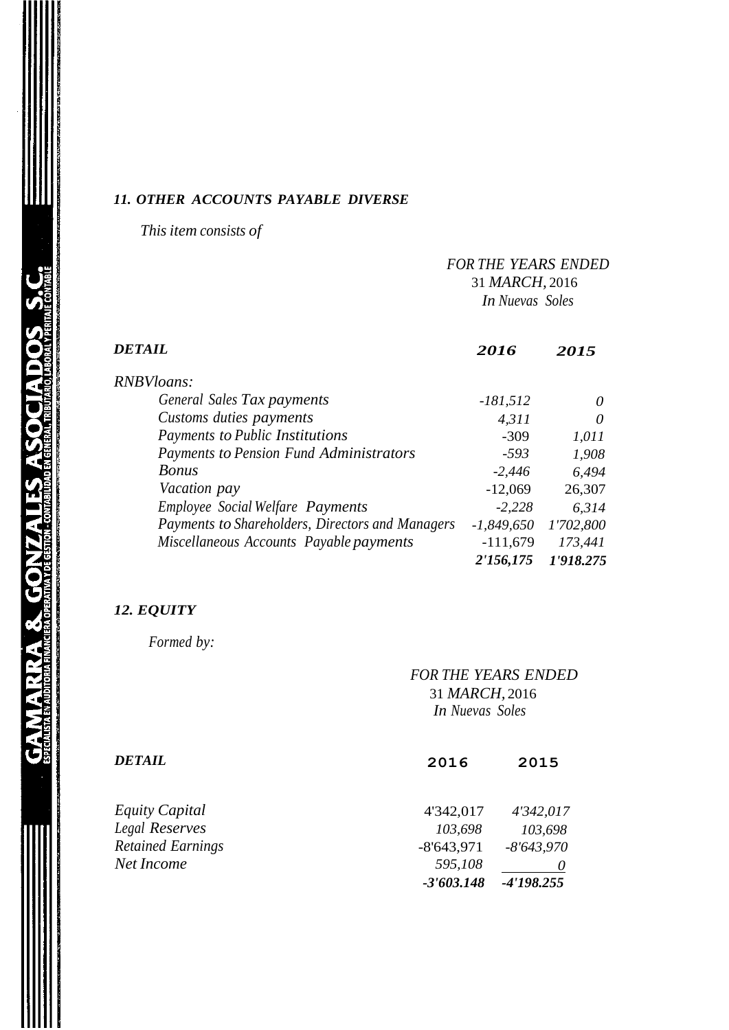#### *11. OTHER ACCOUNTS PAYABLE DIVERSE*

*This item consists of*

|                                                  |              | <b>FOR THE YEARS ENDED</b><br>31 MARCH, 2016<br><b>In Nuevas Soles</b> |  |
|--------------------------------------------------|--------------|------------------------------------------------------------------------|--|
| <b>DETAIL</b>                                    | 2016         | 2015                                                                   |  |
| <b>RNBVloans:</b>                                |              |                                                                        |  |
| General Sales Tax payments                       | $-181,512$   | $\theta$                                                               |  |
| Customs duties payments                          | 4,311        | 0                                                                      |  |
| Payments to Public Institutions                  | $-309$       | 1,011                                                                  |  |
| Payments to Pension Fund Administrators          | $-593$       | 1,908                                                                  |  |
| <b>Bonus</b>                                     | $-2,446$     | 6,494                                                                  |  |
| Vacation pay                                     | $-12,069$    | 26,307                                                                 |  |
| <b>Employee Social Welfare Payments</b>          | $-2,228$     | 6,314                                                                  |  |
| Payments to Shareholders, Directors and Managers | $-1,849,650$ | 1'702,800                                                              |  |
| Miscellaneous Accounts Payable payments          | $-111,679$   | 173,441                                                                |  |
|                                                  | 2'156,175    | 1'918.275                                                              |  |

# *12. EQUITY*

*Formed by:*

|                          | <b>FOR THE YEARS ENDED</b><br>31 MARCH, 2016<br>In Nuevas Soles |              |  |
|--------------------------|-----------------------------------------------------------------|--------------|--|
| DETAIL                   | 2016                                                            | 2015         |  |
| Equity Capital           | 4'342,017                                                       | 4'342,017    |  |
| Legal Reserves           | 103,698                                                         | 103,698      |  |
| <b>Retained Earnings</b> | $-8'643,971$                                                    | $-8'643,970$ |  |
| Net Income               | 595,108                                                         | O            |  |
|                          | $-3'603.148$                                                    | $-4'198.255$ |  |